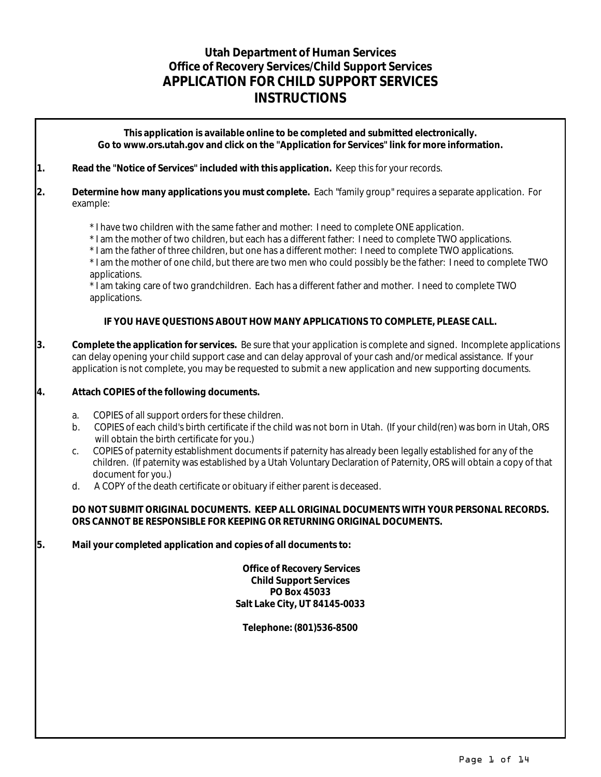### **Utah Department of Human Services Office of Recovery Services/Child Support Services APPLICATION FOR CHILD SUPPORT SERVICES INSTRUCTIONS**

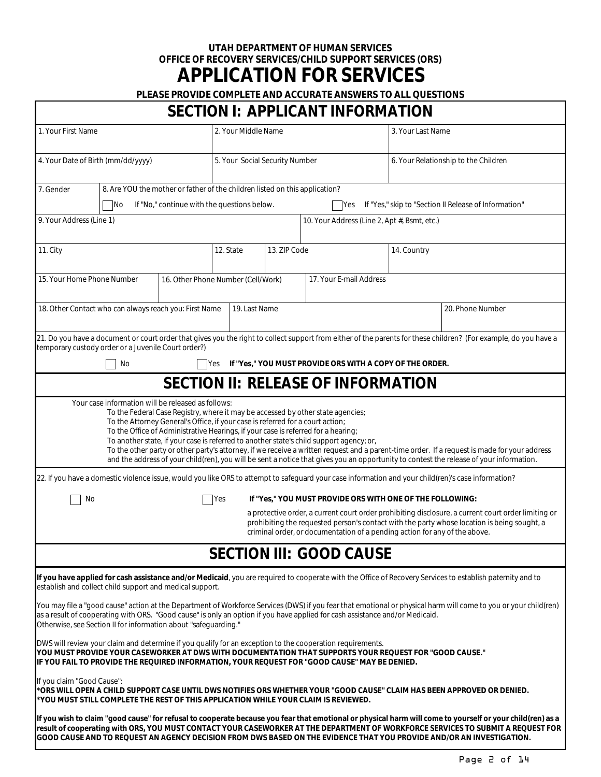### **UTAH DEPARTMENT OF HUMAN SERVICES OFFICE OF RECOVERY SERVICES/CHILD SUPPORT SERVICES (ORS) APPLICATION FOR SERVICES**

**PLEASE PROVIDE COMPLETE AND ACCURATE ANSWERS TO ALL QUESTIONS**

|                                                                                                                                                                                                                                                                                                                                                                                                                                                                                                                                                                                                                                                                                                                                             |    |                                                                             |                                                                                                                                                                                                                                                                                                                                                      |              | <b>SECTION I: APPLICANT INFORMATION</b>                  |                                              |                                                                                                                                                                                                                                                                                                                                                                                                                        |  |  |
|---------------------------------------------------------------------------------------------------------------------------------------------------------------------------------------------------------------------------------------------------------------------------------------------------------------------------------------------------------------------------------------------------------------------------------------------------------------------------------------------------------------------------------------------------------------------------------------------------------------------------------------------------------------------------------------------------------------------------------------------|----|-----------------------------------------------------------------------------|------------------------------------------------------------------------------------------------------------------------------------------------------------------------------------------------------------------------------------------------------------------------------------------------------------------------------------------------------|--------------|----------------------------------------------------------|----------------------------------------------|------------------------------------------------------------------------------------------------------------------------------------------------------------------------------------------------------------------------------------------------------------------------------------------------------------------------------------------------------------------------------------------------------------------------|--|--|
| 1. Your First Name                                                                                                                                                                                                                                                                                                                                                                                                                                                                                                                                                                                                                                                                                                                          |    |                                                                             | 2. Your Middle Name                                                                                                                                                                                                                                                                                                                                  |              |                                                          | 3. Your Last Name                            |                                                                                                                                                                                                                                                                                                                                                                                                                        |  |  |
| 4. Your Date of Birth (mm/dd/yyyy)                                                                                                                                                                                                                                                                                                                                                                                                                                                                                                                                                                                                                                                                                                          |    |                                                                             | 5. Your Social Security Number                                                                                                                                                                                                                                                                                                                       |              |                                                          |                                              | 6. Your Relationship to the Children                                                                                                                                                                                                                                                                                                                                                                                   |  |  |
| 7. Gender                                                                                                                                                                                                                                                                                                                                                                                                                                                                                                                                                                                                                                                                                                                                   |    | 8. Are YOU the mother or father of the children listed on this application? |                                                                                                                                                                                                                                                                                                                                                      |              |                                                          |                                              |                                                                                                                                                                                                                                                                                                                                                                                                                        |  |  |
|                                                                                                                                                                                                                                                                                                                                                                                                                                                                                                                                                                                                                                                                                                                                             | No | If "No," continue with the questions below.                                 |                                                                                                                                                                                                                                                                                                                                                      |              | Yes                                                      |                                              | If "Yes," skip to "Section II Release of Information"                                                                                                                                                                                                                                                                                                                                                                  |  |  |
| 9. Your Address (Line 1)                                                                                                                                                                                                                                                                                                                                                                                                                                                                                                                                                                                                                                                                                                                    |    |                                                                             |                                                                                                                                                                                                                                                                                                                                                      |              |                                                          | 10. Your Address (Line 2, Apt #, Bsmt, etc.) |                                                                                                                                                                                                                                                                                                                                                                                                                        |  |  |
| 11. City                                                                                                                                                                                                                                                                                                                                                                                                                                                                                                                                                                                                                                                                                                                                    |    |                                                                             | 12. State                                                                                                                                                                                                                                                                                                                                            | 13. ZIP Code |                                                          | 14. Country                                  |                                                                                                                                                                                                                                                                                                                                                                                                                        |  |  |
| 15. Your Home Phone Number                                                                                                                                                                                                                                                                                                                                                                                                                                                                                                                                                                                                                                                                                                                  |    | 16. Other Phone Number (Cell/Work)                                          |                                                                                                                                                                                                                                                                                                                                                      |              | 17. Your E-mail Address                                  |                                              |                                                                                                                                                                                                                                                                                                                                                                                                                        |  |  |
| 18. Other Contact who can always reach you: First Name                                                                                                                                                                                                                                                                                                                                                                                                                                                                                                                                                                                                                                                                                      |    |                                                                             | 19. Last Name                                                                                                                                                                                                                                                                                                                                        |              |                                                          |                                              | 20. Phone Number                                                                                                                                                                                                                                                                                                                                                                                                       |  |  |
| temporary custody order or a Juvenile Court order?)                                                                                                                                                                                                                                                                                                                                                                                                                                                                                                                                                                                                                                                                                         |    |                                                                             |                                                                                                                                                                                                                                                                                                                                                      |              |                                                          |                                              | 21. Do you have a document or court order that gives you the right to collect support from either of the parents for these children? (For example, do you have a                                                                                                                                                                                                                                                       |  |  |
|                                                                                                                                                                                                                                                                                                                                                                                                                                                                                                                                                                                                                                                                                                                                             | No |                                                                             | <b>Yes</b>                                                                                                                                                                                                                                                                                                                                           |              | If "Yes," YOU MUST PROVIDE ORS WITH A COPY OF THE ORDER. |                                              |                                                                                                                                                                                                                                                                                                                                                                                                                        |  |  |
| <b>SECTION II: RELEASE OF INFORMATION</b>                                                                                                                                                                                                                                                                                                                                                                                                                                                                                                                                                                                                                                                                                                   |    |                                                                             |                                                                                                                                                                                                                                                                                                                                                      |              |                                                          |                                              |                                                                                                                                                                                                                                                                                                                                                                                                                        |  |  |
| To the Attorney General's Office, if your case is referred for a court action;<br>To the Office of Administrative Hearings, if your case is referred for a hearing;<br>To another state, if your case is referred to another state's child support agency; or,<br>To the other party or other party's attorney, if we receive a written request and a parent-time order. If a request is made for your address<br>and the address of your child(ren), you will be sent a notice that gives you an opportunity to contest the release of your information.<br>22. If you have a domestic violence issue, would you like ORS to attempt to safeguard your case information and your child(ren)'s case information?                            |    |                                                                             |                                                                                                                                                                                                                                                                                                                                                      |              |                                                          |                                              |                                                                                                                                                                                                                                                                                                                                                                                                                        |  |  |
| No                                                                                                                                                                                                                                                                                                                                                                                                                                                                                                                                                                                                                                                                                                                                          |    |                                                                             | If "Yes," YOU MUST PROVIDE ORS WITH ONE OF THE FOLLOWING:<br>Yes<br>a protective order, a current court order prohibiting disclosure, a current court order limiting or<br>prohibiting the requested person's contact with the party whose location is being sought, a<br>criminal order, or documentation of a pending action for any of the above. |              |                                                          |                                              |                                                                                                                                                                                                                                                                                                                                                                                                                        |  |  |
|                                                                                                                                                                                                                                                                                                                                                                                                                                                                                                                                                                                                                                                                                                                                             |    |                                                                             |                                                                                                                                                                                                                                                                                                                                                      |              |                                                          |                                              |                                                                                                                                                                                                                                                                                                                                                                                                                        |  |  |
| <b>SECTION III: GOOD CAUSE</b><br>If you have applied for cash assistance and/or Medicaid, you are required to cooperate with the Office of Recovery Services to establish paternity and to<br>establish and collect child support and medical support.<br>You may file a "good cause" action at the Department of Workforce Services (DWS) if you fear that emotional or physical harm will come to you or your child(ren)<br>as a result of cooperating with ORS. "Good cause" is only an option if you have applied for cash assistance and/or Medicaid.<br>Otherwise, see Section II for information about "safeguarding."<br>DWS will review your claim and determine if you qualify for an exception to the cooperation requirements. |    |                                                                             |                                                                                                                                                                                                                                                                                                                                                      |              |                                                          |                                              |                                                                                                                                                                                                                                                                                                                                                                                                                        |  |  |
| YOU MUST PROVIDE YOUR CASEWORKER AT DWS WITH DOCUMENTATION THAT SUPPORTS YOUR REQUEST FOR "GOOD CAUSE."<br>IF YOU FAIL TO PROVIDE THE REQUIRED INFORMATION, YOUR REQUEST FOR "GOOD CAUSE" MAY BE DENIED.<br>If you claim "Good Cause":<br>*ORS WILL OPEN A CHILD SUPPORT CASE UNTIL DWS NOTIFIES ORS WHETHER YOUR "GOOD CAUSE" CLAIM HAS BEEN APPROVED OR DENIED.<br>*YOU MUST STILL COMPLETE THE REST OF THIS APPLICATION WHILE YOUR CLAIM IS REVIEWED.                                                                                                                                                                                                                                                                                    |    |                                                                             |                                                                                                                                                                                                                                                                                                                                                      |              |                                                          |                                              |                                                                                                                                                                                                                                                                                                                                                                                                                        |  |  |
|                                                                                                                                                                                                                                                                                                                                                                                                                                                                                                                                                                                                                                                                                                                                             |    |                                                                             |                                                                                                                                                                                                                                                                                                                                                      |              |                                                          |                                              | If you wish to claim "good cause" for refusal to cooperate because you fear that emotional or physical harm will come to yourself or your child(ren) as a<br>result of cooperating with ORS, YOU MUST CONTACT YOUR CASEWORKER AT THE DEPARTMENT OF WORKFORCE SERVICES TO SUBMIT A REQUEST FOR<br>GOOD CAUSE AND TO REQUEST AN AGENCY DECISION FROM DWS BASED ON THE EVIDENCE THAT YOU PROVIDE AND/OR AN INVESTIGATION. |  |  |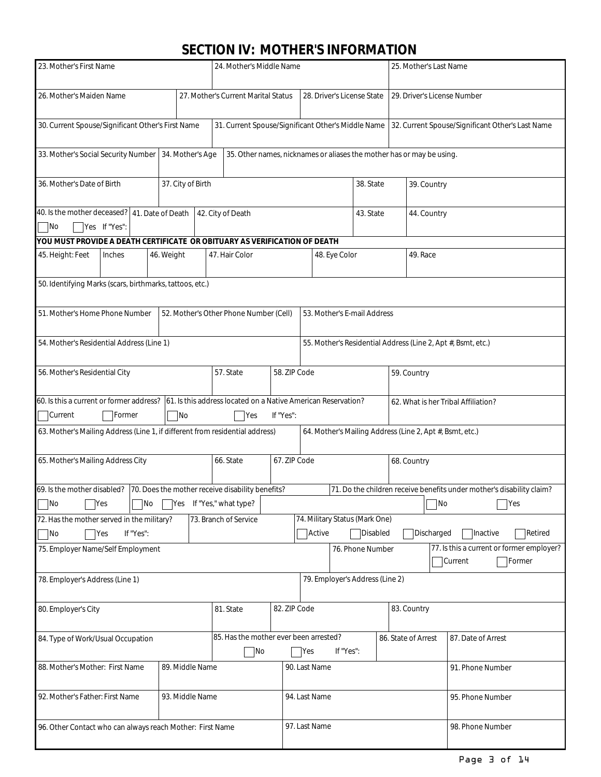## **SECTION IV: MOTHER'S INFORMATION**

| 23. Mother's First Name                                                                                        | 24. Mother's Middle Name            |                                                                       |              |                                |  | 25. Mother's Last Name |                             |                                                                                                     |                                                          |                                                                       |
|----------------------------------------------------------------------------------------------------------------|-------------------------------------|-----------------------------------------------------------------------|--------------|--------------------------------|--|------------------------|-----------------------------|-----------------------------------------------------------------------------------------------------|----------------------------------------------------------|-----------------------------------------------------------------------|
| 26. Mother's Maiden Name                                                                                       | 27. Mother's Current Marital Status | 28. Driver's License State                                            |              |                                |  |                        | 29. Driver's License Number |                                                                                                     |                                                          |                                                                       |
| 30. Current Spouse/Significant Other's First Name                                                              |                                     |                                                                       |              |                                |  |                        |                             | 31. Current Spouse/Significant Other's Middle Name 32. Current Spouse/Significant Other's Last Name |                                                          |                                                                       |
| 33. Mother's Social Security Number   34. Mother's Age                                                         |                                     | 35. Other names, nicknames or aliases the mother has or may be using. |              |                                |  |                        |                             |                                                                                                     |                                                          |                                                                       |
| 36. Mother's Date of Birth                                                                                     |                                     |                                                                       |              | 38. State                      |  | 39. Country            |                             |                                                                                                     |                                                          |                                                                       |
| 40. Is the mother deceased? 41. Date of Death<br>$\n  No\n$<br>Yes If "Yes":                                   |                                     |                                                                       |              | 43. State                      |  | 44. Country            |                             |                                                                                                     |                                                          |                                                                       |
| YOU MUST PROVIDE A DEATH CERTIFICATE OR OBITUARY AS VERIFICATION OF DEATH                                      |                                     |                                                                       |              |                                |  |                        |                             |                                                                                                     |                                                          |                                                                       |
| 45. Height: Feet<br>Inches<br>46. Weight                                                                       |                                     | 48. Eye Color<br>49. Race                                             |              |                                |  |                        |                             |                                                                                                     |                                                          |                                                                       |
| 50. Identifying Marks (scars, birthmarks, tattoos, etc.)                                                       |                                     |                                                                       |              |                                |  |                        |                             |                                                                                                     |                                                          |                                                                       |
| 51. Mother's Home Phone Number                                                                                 |                                     | 52. Mother's Other Phone Number (Cell)                                |              | 53. Mother's E-mail Address    |  |                        |                             |                                                                                                     |                                                          |                                                                       |
| 54. Mother's Residential Address (Line 1)                                                                      |                                     | 55. Mother's Residential Address (Line 2, Apt #, Bsmt, etc.)          |              |                                |  |                        |                             |                                                                                                     |                                                          |                                                                       |
| 56. Mother's Residential City                                                                                  |                                     | 57. State                                                             | 58. ZIP Code |                                |  |                        |                             | 59. Country                                                                                         |                                                          |                                                                       |
| 60. Is this a current or former address? $\vert$ 61. Is this address located on a Native American Reservation? |                                     |                                                                       |              |                                |  |                        |                             |                                                                                                     | 62. What is her Tribal Affiliation?                      |                                                                       |
| Current<br>Former                                                                                              | $\neg$ No                           | Yes                                                                   | If "Yes":    |                                |  |                        |                             |                                                                                                     |                                                          |                                                                       |
| 63. Mother's Mailing Address (Line 1, if different from residential address)                                   |                                     |                                                                       |              |                                |  |                        |                             |                                                                                                     | 64. Mother's Mailing Address (Line 2, Apt #, Bsmt, etc.) |                                                                       |
| 65. Mother's Mailing Address City                                                                              |                                     | 66. State                                                             | 67. ZIP Code | 68. Country                    |  |                        |                             |                                                                                                     |                                                          |                                                                       |
| 69. Is the mother disabled? 70. Does the mother receive disability benefits?                                   |                                     |                                                                       |              |                                |  |                        |                             |                                                                                                     |                                                          | 71. Do the children receive benefits under mother's disability claim? |
| No<br>Yes<br>No                                                                                                | Yes                                 | If "Yes," what type?                                                  |              | 74. Military Status (Mark One) |  |                        |                             |                                                                                                     | No                                                       | Yes                                                                   |
| 72. Has the mother served in the military?<br>If "Yes":<br> No<br>Yes                                          |                                     | 73. Branch of Service                                                 |              | Active                         |  | Disabled               |                             | Discharged                                                                                          | ]Inactive                                                | Retired                                                               |
| 75. Employer Name/Self Employment                                                                              |                                     |                                                                       |              |                                |  | 76. Phone Number       |                             |                                                                                                     |                                                          | 77. Is this a current or former employer?                             |
|                                                                                                                |                                     |                                                                       |              |                                |  |                        | Current                     | Former                                                                                              |                                                          |                                                                       |
| 78. Employer's Address (Line 1)                                                                                |                                     | 79. Employer's Address (Line 2)                                       |              |                                |  |                        |                             |                                                                                                     |                                                          |                                                                       |
| 80. Employer's City                                                                                            | 82. ZIP Code                        |                                                                       |              |                                |  | 83. Country            |                             |                                                                                                     |                                                          |                                                                       |
| 84. Type of Work/Usual Occupation                                                                              |                                     | 85. Has the mother ever been arrested?<br> Yes                        | If "Yes":    |                                |  | 86. State of Arrest    | 87. Date of Arrest          |                                                                                                     |                                                          |                                                                       |
| 88. Mother's Mother: First Name                                                                                | 89. Middle Name                     |                                                                       |              | 90. Last Name                  |  |                        |                             |                                                                                                     | 91. Phone Number                                         |                                                                       |
| 92. Mother's Father: First Name                                                                                | 93. Middle Name                     |                                                                       |              | 94. Last Name                  |  |                        |                             |                                                                                                     | 95. Phone Number                                         |                                                                       |
| 96. Other Contact who can always reach Mother: First Name                                                      |                                     | 97. Last Name<br>98. Phone Number                                     |              |                                |  |                        |                             |                                                                                                     |                                                          |                                                                       |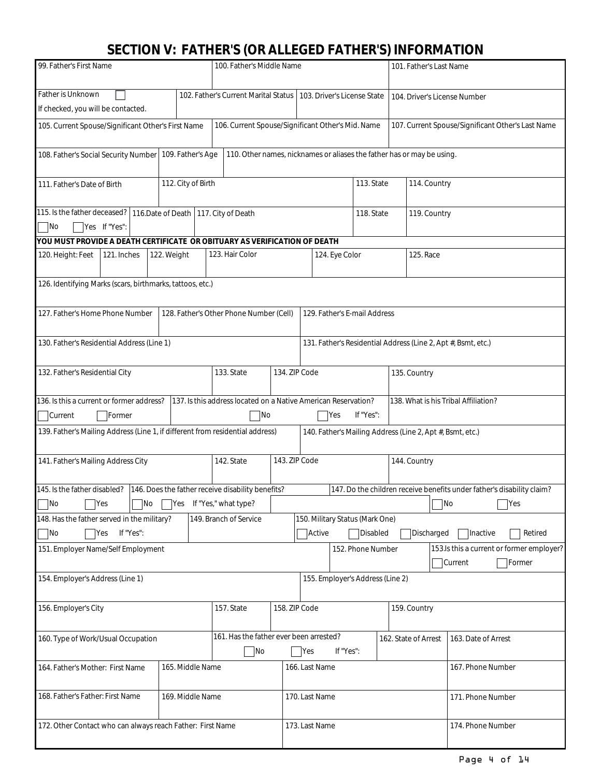# **SECTION V: FATHER'S (OR ALLEGED FATHER'S) INFORMATION**

| 99. Father's First Name<br>100. Father's Middle Name                                                       |                  |                                                                |           |                                                                        |                                 |                                                                        |  |                                                           | 101. Father's Last Name |                                                      |  |
|------------------------------------------------------------------------------------------------------------|------------------|----------------------------------------------------------------|-----------|------------------------------------------------------------------------|---------------------------------|------------------------------------------------------------------------|--|-----------------------------------------------------------|-------------------------|------------------------------------------------------|--|
| Father is Unknown                                                                                          |                  | 102. Father's Current Marital Status                           |           | 103. Driver's License State<br>104. Driver's License Number            |                                 |                                                                        |  |                                                           |                         |                                                      |  |
| If checked, you will be contacted.                                                                         |                  |                                                                |           |                                                                        |                                 |                                                                        |  |                                                           |                         |                                                      |  |
| 105. Current Spouse/Significant Other's First Name                                                         |                  | 106. Current Spouse/Significant Other's Mid. Name              |           |                                                                        |                                 |                                                                        |  |                                                           |                         | 107. Current Spouse/Significant Other's Last Name    |  |
| 108. Father's Social Security Number                                                                       |                  |                                                                |           |                                                                        |                                 | 110. Other names, nicknames or aliases the father has or may be using. |  |                                                           |                         |                                                      |  |
| 111. Father's Date of Birth                                                                                |                  |                                                                |           | 113. State                                                             |                                 | 114. Country                                                           |  |                                                           |                         |                                                      |  |
| 115. Is the father deceased?   116. Date of Death   117. City of Death<br>Yes If "Yes":<br> No             |                  |                                                                |           | 118. State                                                             |                                 | 119. Country                                                           |  |                                                           |                         |                                                      |  |
| YOU MUST PROVIDE A DEATH CERTIFICATE OR OBITUARY AS VERIFICATION OF DEATH                                  |                  |                                                                |           |                                                                        |                                 |                                                                        |  |                                                           |                         |                                                      |  |
| 120. Height: Feet<br>122. Weight<br>121. Inches                                                            |                  | 124. Eye Color                                                 |           |                                                                        | 125. Race                       |                                                                        |  |                                                           |                         |                                                      |  |
| 126. Identifying Marks (scars, birthmarks, tattoos, etc.)                                                  |                  |                                                                |           |                                                                        |                                 |                                                                        |  |                                                           |                         |                                                      |  |
| 127. Father's Home Phone Number<br>128. Father's Other Phone Number (Cell)<br>129. Father's E-mail Address |                  |                                                                |           |                                                                        |                                 |                                                                        |  |                                                           |                         |                                                      |  |
| 130. Father's Residential Address (Line 1)                                                                 |                  | 131. Father's Residential Address (Line 2, Apt #, Bsmt, etc.)  |           |                                                                        |                                 |                                                                        |  |                                                           |                         |                                                      |  |
| 132. Father's Residential City                                                                             |                  | 133. State                                                     |           | 134. ZIP Code<br>135. Country                                          |                                 |                                                                        |  |                                                           |                         |                                                      |  |
| 136. Is this a current or former address?                                                                  |                  | 137. Is this address located on a Native American Reservation? |           |                                                                        |                                 |                                                                        |  | 138. What is his Tribal Affiliation?                      |                         |                                                      |  |
| Current<br>Former                                                                                          |                  | No                                                             |           |                                                                        | Yes                             | If "Yes":                                                              |  |                                                           |                         |                                                      |  |
| 139. Father's Mailing Address (Line 1, if different from residential address)                              |                  |                                                                |           |                                                                        |                                 |                                                                        |  | 140. Father's Mailing Address (Line 2, Apt #, Bsmt, etc.) |                         |                                                      |  |
| 141. Father's Mailing Address City                                                                         |                  | 142. State                                                     |           | 143. ZIP Code<br>144. Country                                          |                                 |                                                                        |  |                                                           |                         |                                                      |  |
| 145. Is the father disabled?                                                                               |                  | 146. Does the father receive disability benefits?              |           | 147. Do the children receive benefits under father's disability claim? |                                 |                                                                        |  |                                                           |                         |                                                      |  |
| No<br> Yes<br>No                                                                                           | Yes              | If "Yes," what type?                                           |           |                                                                        |                                 |                                                                        |  |                                                           | No                      | Yes                                                  |  |
| 148. Has the father served in the military?                                                                |                  | 149. Branch of Service                                         |           |                                                                        | 150. Military Status (Mark One) |                                                                        |  |                                                           |                         |                                                      |  |
| If "Yes":<br>$\neg$ No<br>$\exists$ Yes                                                                    |                  |                                                                |           | Active                                                                 |                                 | Disabled                                                               |  | Discharged                                                |                         | Inactive<br>Retired                                  |  |
| 151. Employer Name/Self Employment                                                                         |                  |                                                                |           |                                                                        |                                 | 152. Phone Number                                                      |  |                                                           | Current                 | 153. Is this a current or former employer?<br>Former |  |
| 154. Employer's Address (Line 1)                                                                           |                  | 155. Employer's Address (Line 2)                               |           |                                                                        |                                 |                                                                        |  |                                                           |                         |                                                      |  |
| 156. Employer's City                                                                                       |                  | 158. ZIP Code                                                  |           |                                                                        |                                 | 159. Country                                                           |  |                                                           |                         |                                                      |  |
| 160. Type of Work/Usual Occupation                                                                         |                  | 161. Has the father ever been arrested?<br><b>Yes</b>          | If "Yes": |                                                                        |                                 | 162. State of Arrest                                                   |  | 163. Date of Arrest                                       |                         |                                                      |  |
| 164. Father's Mother: First Name                                                                           | 165. Middle Name | $\overline{\phantom{a}}$ No                                    |           | 166. Last Name                                                         |                                 |                                                                        |  |                                                           |                         | 167. Phone Number                                    |  |
| 168. Father's Father: First Name                                                                           | 169. Middle Name |                                                                |           | 170. Last Name                                                         |                                 |                                                                        |  |                                                           |                         | 171. Phone Number                                    |  |
|                                                                                                            |                  |                                                                |           |                                                                        |                                 |                                                                        |  |                                                           |                         |                                                      |  |
| 172. Other Contact who can always reach Father: First Name                                                 |                  | 174. Phone Number<br>173. Last Name                            |           |                                                                        |                                 |                                                                        |  |                                                           |                         |                                                      |  |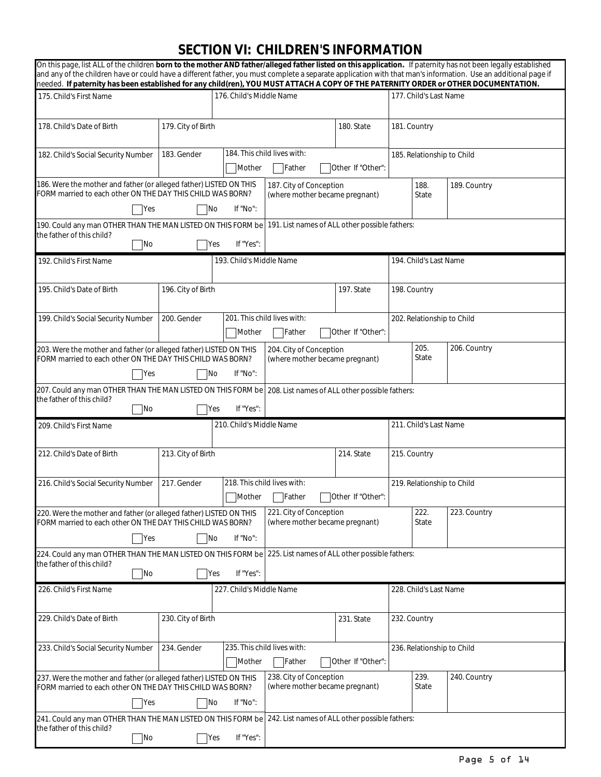## **SECTION VI: CHILDREN'S INFORMATION**

| On this page, list ALL of the children born to the mother AND father/alleged father listed on this application. If paternity has not been legally established<br>and any of the children have or could have a different father, you must complete a separate application with that man's information. Use an additional page if<br>needed. If paternity has been established for any child(ren), YOU MUST ATTACH A COPY OF THE PATERNITY ORDER or OTHER DOCUMENTATION. |                                                                                                                   |                          |                                                           |                                                 |              |                            |                            |  |  |
|------------------------------------------------------------------------------------------------------------------------------------------------------------------------------------------------------------------------------------------------------------------------------------------------------------------------------------------------------------------------------------------------------------------------------------------------------------------------|-------------------------------------------------------------------------------------------------------------------|--------------------------|-----------------------------------------------------------|-------------------------------------------------|--------------|----------------------------|----------------------------|--|--|
| 175. Child's First Name                                                                                                                                                                                                                                                                                                                                                                                                                                                |                                                                                                                   | 176. Child's Middle Name |                                                           | 177. Child's Last Name                          |              |                            |                            |  |  |
| 178. Child's Date of Birth                                                                                                                                                                                                                                                                                                                                                                                                                                             | 179. City of Birth                                                                                                |                          |                                                           | 180. State                                      |              |                            | 181. Country               |  |  |
| 182. Child's Social Security Number                                                                                                                                                                                                                                                                                                                                                                                                                                    | 183. Gender                                                                                                       | Mother                   | 184. This child lives with:<br>Father                     | 185. Relationship to Child<br>Other If "Other": |              |                            |                            |  |  |
| 186. Were the mother and father (or alleged father) LISTED ON THIS<br>FORM married to each other ON THE DAY THIS CHILD WAS BORN?<br>Yes                                                                                                                                                                                                                                                                                                                                |                                                                                                                   | If "No":<br>No           | 187. City of Conception<br>(where mother became pregnant) |                                                 |              | 188.<br>State              | 189. Country               |  |  |
| 190. Could any man OTHER THAN THE MAN LISTED ON THIS FORM be<br>the father of this child?<br> No                                                                                                                                                                                                                                                                                                                                                                       |                                                                                                                   | If "Yes":<br>Yes         | 191. List names of ALL other possible fathers:            |                                                 |              |                            |                            |  |  |
| 192. Child's First Name                                                                                                                                                                                                                                                                                                                                                                                                                                                |                                                                                                                   | 193. Child's Middle Name |                                                           |                                                 |              | 194. Child's Last Name     |                            |  |  |
| 195. Child's Date of Birth                                                                                                                                                                                                                                                                                                                                                                                                                                             | 196. City of Birth                                                                                                |                          |                                                           | 197. State                                      |              | 198. Country               |                            |  |  |
| 199. Child's Social Security Number                                                                                                                                                                                                                                                                                                                                                                                                                                    | 201. This child lives with:<br>200. Gender<br>202. Relationship to Child<br>Father<br>Other If "Other":<br>Mother |                          |                                                           |                                                 |              |                            |                            |  |  |
| 203. Were the mother and father (or alleged father) LISTED ON THIS<br>FORM married to each other ON THE DAY THIS CHILD WAS BORN?<br><sup>1</sup> Yes                                                                                                                                                                                                                                                                                                                   |                                                                                                                   | If "No":<br>No           | 204. City of Conception<br>(where mother became pregnant) |                                                 |              | 205.<br>State              | 206. Country               |  |  |
| 207. Could any man OTHER THAN THE MAN LISTED ON THIS FORM be<br>the father of this child?<br> No                                                                                                                                                                                                                                                                                                                                                                       |                                                                                                                   | If "Yes":<br>Yes         | 208. List names of ALL other possible fathers:            |                                                 |              |                            |                            |  |  |
| 209. Child's First Name                                                                                                                                                                                                                                                                                                                                                                                                                                                |                                                                                                                   | 210. Child's Middle Name |                                                           |                                                 |              | 211. Child's Last Name     |                            |  |  |
| 212. Child's Date of Birth                                                                                                                                                                                                                                                                                                                                                                                                                                             | 213. City of Birth                                                                                                |                          |                                                           | 214. State                                      | 215. Country |                            |                            |  |  |
| 216. Child's Social Security Number                                                                                                                                                                                                                                                                                                                                                                                                                                    | 217. Gender                                                                                                       | Mother                   | 218. This child lives with:<br>Father                     | Other If "Other":                               |              |                            | 219. Relationship to Child |  |  |
| 220. Were the mother and father (or alleged father) LISTED ON THIS<br>FORM married to each other ON THE DAY THIS CHILD WAS BORN?<br>Yes                                                                                                                                                                                                                                                                                                                                | No                                                                                                                | If "No":                 | 221. City of Conception<br>(where mother became pregnant) |                                                 |              | 222.<br>State              | 223. Country               |  |  |
| 224. Could any man OTHER THAN THE MAN LISTED ON THIS FORM be<br>the father of this child?<br> No                                                                                                                                                                                                                                                                                                                                                                       |                                                                                                                   | If "Yes":<br>Yes         | 225. List names of ALL other possible fathers:            |                                                 |              |                            |                            |  |  |
| 226. Child's First Name                                                                                                                                                                                                                                                                                                                                                                                                                                                |                                                                                                                   | 227. Child's Middle Name |                                                           |                                                 |              | 228. Child's Last Name     |                            |  |  |
| 229. Child's Date of Birth                                                                                                                                                                                                                                                                                                                                                                                                                                             | 230. City of Birth                                                                                                |                          |                                                           | 231. State                                      | 232. Country |                            |                            |  |  |
| 233. Child's Social Security Number                                                                                                                                                                                                                                                                                                                                                                                                                                    | 234. Gender                                                                                                       | Mother                   | 235. This child lives with:<br>Father                     | Other If "Other":                               |              | 236. Relationship to Child |                            |  |  |
| 237. Were the mother and father (or alleged father) LISTED ON THIS<br>FORM married to each other ON THE DAY THIS CHILD WAS BORN?<br>Yes                                                                                                                                                                                                                                                                                                                                | No                                                                                                                | If "No":                 | 238. City of Conception<br>(where mother became pregnant) |                                                 |              | 239.<br>State              | 240. Country               |  |  |
| 241. Could any man OTHER THAN THE MAN LISTED ON THIS FORM be<br>the father of this child?<br>No                                                                                                                                                                                                                                                                                                                                                                        |                                                                                                                   | If "Yes":<br>Yes         | 242. List names of ALL other possible fathers:            |                                                 |              |                            |                            |  |  |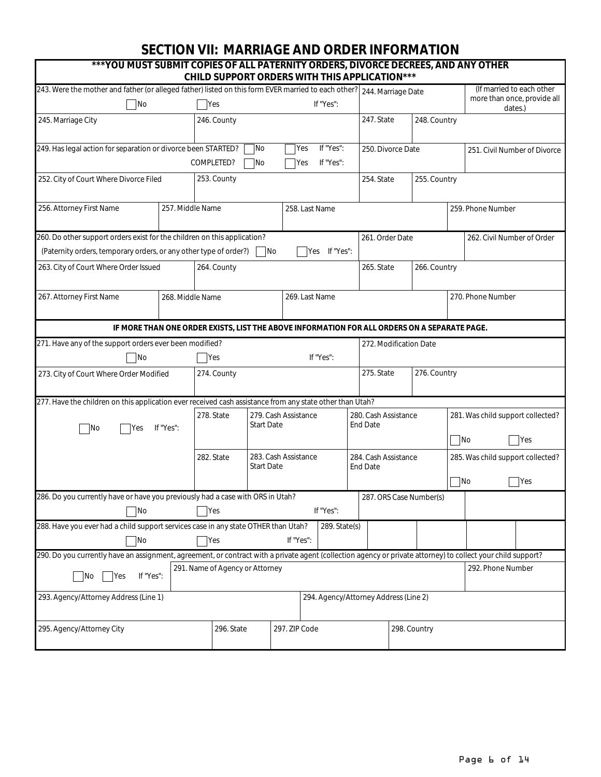## **SECTION VII: MARRIAGE AND ORDER INFORMATION**

| ***YOU MUST SUBMIT COPIES OF ALL PATERNITY ORDERS, DIVORCE DECREES, AND ANY OTHER                                                                            |                  | <b>CHILD SUPPORT ORDERS WITH THIS APPLICATION***</b> |                   |                      |                                       |                   |                                         |              |              |                                                 |                                        |     |
|--------------------------------------------------------------------------------------------------------------------------------------------------------------|------------------|------------------------------------------------------|-------------------|----------------------|---------------------------------------|-------------------|-----------------------------------------|--------------|--------------|-------------------------------------------------|----------------------------------------|-----|
| 243. Were the mother and father (or alleged father) listed on this form EVER married to each other? 244. Marriage Date                                       |                  |                                                      |                   |                      |                                       |                   |                                         |              |              |                                                 | (If married to each other              |     |
| <b>No</b>                                                                                                                                                    |                  | If "Yes":<br><b>Yes</b>                              |                   |                      |                                       |                   |                                         |              |              |                                                 | more than once, provide all<br>dates.) |     |
| 245. Marriage City                                                                                                                                           |                  | 246. County                                          |                   |                      |                                       |                   | 247. State                              |              | 248. Country |                                                 |                                        |     |
| ∏No<br>Yes<br>249. Has legal action for separation or divorce been STARTED?<br>COMPLETED?<br> No<br> Yes                                                     |                  |                                                      |                   |                      | If "Yes":<br>If "Yes":                |                   | 250. Divorce Date                       |              |              |                                                 | 251. Civil Number of Divorce           |     |
| 252. City of Court Where Divorce Filed<br>253. County                                                                                                        |                  |                                                      |                   |                      |                                       |                   | 254. State                              |              | 255. Country |                                                 |                                        |     |
| 256. Attorney First Name<br>257. Middle Name<br>258. Last Name                                                                                               |                  |                                                      |                   |                      |                                       | 259. Phone Number |                                         |              |              |                                                 |                                        |     |
| 260. Do other support orders exist for the children on this application?                                                                                     |                  |                                                      |                   |                      |                                       |                   | 261. Order Date                         |              |              |                                                 | 262. Civil Number of Order             |     |
| (Paternity orders, temporary orders, or any other type of order?)                                                                                            |                  |                                                      | No                |                      | If "Yes":<br>Yes                      |                   |                                         |              |              |                                                 |                                        |     |
| 263. City of Court Where Order Issued                                                                                                                        |                  | 264. County                                          |                   |                      |                                       |                   | 265. State                              |              | 266. Country |                                                 |                                        |     |
| 267. Attorney First Name                                                                                                                                     | 268. Middle Name |                                                      |                   | 269. Last Name       |                                       |                   | 270. Phone Number                       |              |              |                                                 |                                        |     |
| IF MORE THAN ONE ORDER EXISTS, LIST THE ABOVE INFORMATION FOR ALL ORDERS ON A SEPARATE PAGE.                                                                 |                  |                                                      |                   |                      |                                       |                   |                                         |              |              |                                                 |                                        |     |
| 271. Have any of the support orders ever been modified?                                                                                                      |                  |                                                      |                   |                      |                                       |                   | 272. Modification Date                  |              |              |                                                 |                                        |     |
| No                                                                                                                                                           |                  | Yes                                                  |                   |                      | If "Yes":                             |                   |                                         |              |              |                                                 |                                        |     |
| 273. City of Court Where Order Modified                                                                                                                      |                  | 274. County                                          |                   |                      |                                       |                   | 275. State<br>276. Country              |              |              |                                                 |                                        |     |
| 277. Have the children on this application ever received cash assistance from any state other than Utah?                                                     |                  |                                                      |                   |                      |                                       |                   |                                         |              |              |                                                 |                                        |     |
| No<br> Yes                                                                                                                                                   | If "Yes":        | 278. State                                           | <b>Start Date</b> | 279. Cash Assistance |                                       |                   | 280. Cash Assistance<br><b>End Date</b> |              |              | 281. Was child support collected?<br> No<br>Yes |                                        |     |
|                                                                                                                                                              |                  | 282. State                                           |                   | 283. Cash Assistance |                                       |                   | 284. Cash Assistance                    |              |              |                                                 | 285. Was child support collected?      |     |
|                                                                                                                                                              |                  |                                                      | <b>Start Date</b> |                      |                                       | <b>End Date</b>   |                                         |              |              | ∏No                                             |                                        | Yes |
| 286. Do you currently have or have you previously had a case with ORS in Utah?                                                                               |                  |                                                      |                   |                      |                                       |                   | 287. ORS Case Number(s)                 |              |              |                                                 |                                        |     |
| No                                                                                                                                                           |                  | Yes                                                  |                   |                      | If "Yes":                             |                   |                                         |              |              |                                                 |                                        |     |
| 288. Have you ever had a child support services case in any state OTHER than Utah?                                                                           |                  |                                                      |                   |                      | 289. State(s)                         |                   |                                         |              |              |                                                 |                                        |     |
| <b>No</b>                                                                                                                                                    |                  | Yes                                                  |                   | If "Yes":            |                                       |                   |                                         |              |              |                                                 |                                        |     |
| 290. Do you currently have an assignment, agreement, or contract with a private agent (collection agency or private attorney) to collect your child support? |                  |                                                      |                   |                      |                                       |                   |                                         |              |              |                                                 |                                        |     |
| If "Yes":<br> No<br>Yes                                                                                                                                      |                  | 291. Name of Agency or Attorney                      |                   |                      |                                       |                   |                                         |              |              |                                                 | 292. Phone Number                      |     |
| 293. Agency/Attorney Address (Line 1)                                                                                                                        |                  |                                                      |                   |                      | 294. Agency/Attorney Address (Line 2) |                   |                                         |              |              |                                                 |                                        |     |
| 295. Agency/Attorney City                                                                                                                                    |                  | 296. State                                           |                   | 297. ZIP Code        |                                       |                   |                                         | 298. Country |              |                                                 |                                        |     |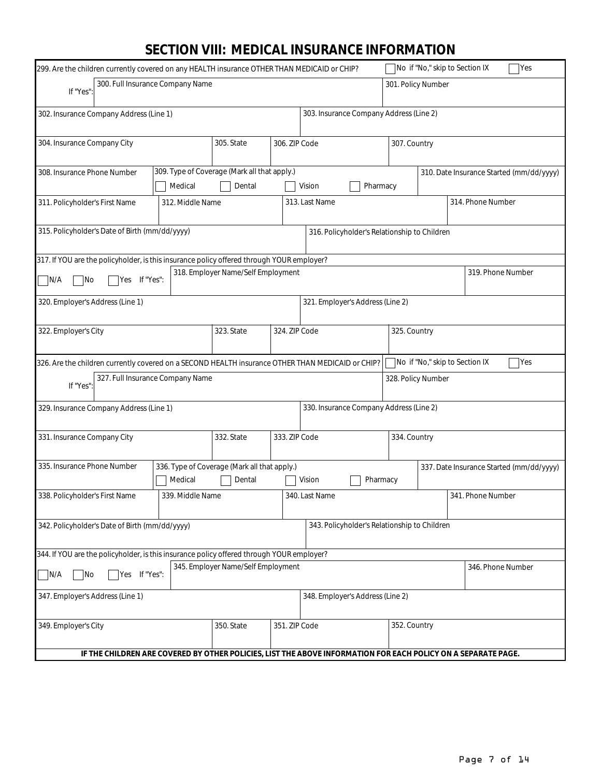## **SECTION VIII: MEDICAL INSURANCE INFORMATION**

|                                                                                                  | 299. Are the children currently covered on any HEALTH insurance OTHER THAN MEDICAID or CHIP?                                                      |                  |                                                        |                                         |                                         |                                                                |                                                      | No if "No," skip to Section IX | Yes               |  |  |
|--------------------------------------------------------------------------------------------------|---------------------------------------------------------------------------------------------------------------------------------------------------|------------------|--------------------------------------------------------|-----------------------------------------|-----------------------------------------|----------------------------------------------------------------|------------------------------------------------------|--------------------------------|-------------------|--|--|
| 300. Full Insurance Company Name<br>301. Policy Number<br>If "Yes":                              |                                                                                                                                                   |                  |                                                        |                                         |                                         |                                                                |                                                      |                                |                   |  |  |
|                                                                                                  | 302. Insurance Company Address (Line 1)                                                                                                           |                  |                                                        | 303. Insurance Company Address (Line 2) |                                         |                                                                |                                                      |                                |                   |  |  |
| 304. Insurance Company City                                                                      |                                                                                                                                                   |                  | 305. State                                             | 306. ZIP Code                           | 307. Country                            |                                                                |                                                      |                                |                   |  |  |
| 309. Type of Coverage (Mark all that apply.)<br>308. Insurance Phone Number<br>Medical<br>Dental |                                                                                                                                                   |                  |                                                        |                                         |                                         | 310. Date Insurance Started (mm/dd/yyyy)<br>Vision<br>Pharmacy |                                                      |                                |                   |  |  |
| 312. Middle Name<br>311. Policyholder's First Name                                               |                                                                                                                                                   |                  |                                                        |                                         | 313. Last Name                          | 314. Phone Number                                              |                                                      |                                |                   |  |  |
| 315. Policyholder's Date of Birth (mm/dd/yyyy)<br>316. Policyholder's Relationship to Children   |                                                                                                                                                   |                  |                                                        |                                         |                                         |                                                                |                                                      |                                |                   |  |  |
|                                                                                                  | 317. If YOU are the policyholder, is this insurance policy offered through YOUR employer?                                                         |                  |                                                        |                                         |                                         |                                                                |                                                      |                                |                   |  |  |
| N/A<br> No                                                                                       | Yes If "Yes":                                                                                                                                     |                  | 318. Employer Name/Self Employment                     |                                         |                                         |                                                                |                                                      |                                | 319. Phone Number |  |  |
| 320. Employer's Address (Line 1)<br>321. Employer's Address (Line 2)                             |                                                                                                                                                   |                  |                                                        |                                         |                                         |                                                                |                                                      |                                |                   |  |  |
| 322. Employer's City                                                                             |                                                                                                                                                   |                  | 323. State                                             | 324. ZIP Code                           |                                         |                                                                | 325. Country                                         |                                |                   |  |  |
|                                                                                                  | No if "No," skip to Section IX<br><b>Yes</b><br>326. Are the children currently covered on a SECOND HEALTH insurance OTHER THAN MEDICAID or CHIP? |                  |                                                        |                                         |                                         |                                                                |                                                      |                                |                   |  |  |
| If "Yes"                                                                                         | 327. Full Insurance Company Name                                                                                                                  |                  |                                                        |                                         |                                         |                                                                | 328. Policy Number                                   |                                |                   |  |  |
|                                                                                                  | 329. Insurance Company Address (Line 1)                                                                                                           |                  |                                                        |                                         | 330. Insurance Company Address (Line 2) |                                                                |                                                      |                                |                   |  |  |
| 331. Insurance Company City                                                                      |                                                                                                                                                   |                  | 332. State                                             | 333. ZIP Code                           |                                         |                                                                | 334. Country                                         |                                |                   |  |  |
| 335. Insurance Phone Number                                                                      |                                                                                                                                                   | Medical          | 336. Type of Coverage (Mark all that apply.)<br>Dental |                                         | Vision                                  |                                                                | 337. Date Insurance Started (mm/dd/yyyy)<br>Pharmacy |                                |                   |  |  |
| 338. Policyholder's First Name                                                                   |                                                                                                                                                   | 339. Middle Name |                                                        |                                         | 340. Last Name                          |                                                                |                                                      |                                | 341. Phone Number |  |  |
| 342. Policyholder's Date of Birth (mm/dd/yyyy)<br>343. Policyholder's Relationship to Children   |                                                                                                                                                   |                  |                                                        |                                         |                                         |                                                                |                                                      |                                |                   |  |  |
| 344. If YOU are the policyholder, is this insurance policy offered through YOUR employer?        |                                                                                                                                                   |                  |                                                        |                                         |                                         |                                                                |                                                      |                                |                   |  |  |
| 345. Employer Name/Self Employment<br>346. Phone Number<br> No<br>If "Yes":<br> N/A<br>Yes       |                                                                                                                                                   |                  |                                                        |                                         |                                         |                                                                |                                                      |                                |                   |  |  |
| 347. Employer's Address (Line 1)                                                                 |                                                                                                                                                   |                  |                                                        |                                         | 348. Employer's Address (Line 2)        |                                                                |                                                      |                                |                   |  |  |
| 349. Employer's City                                                                             |                                                                                                                                                   |                  | 350. State                                             | 351. ZIP Code                           |                                         |                                                                | 352. Country                                         |                                |                   |  |  |
|                                                                                                  | IF THE CHILDREN ARE COVERED BY OTHER POLICIES, LIST THE ABOVE INFORMATION FOR EACH POLICY ON A SEPARATE PAGE.                                     |                  |                                                        |                                         |                                         |                                                                |                                                      |                                |                   |  |  |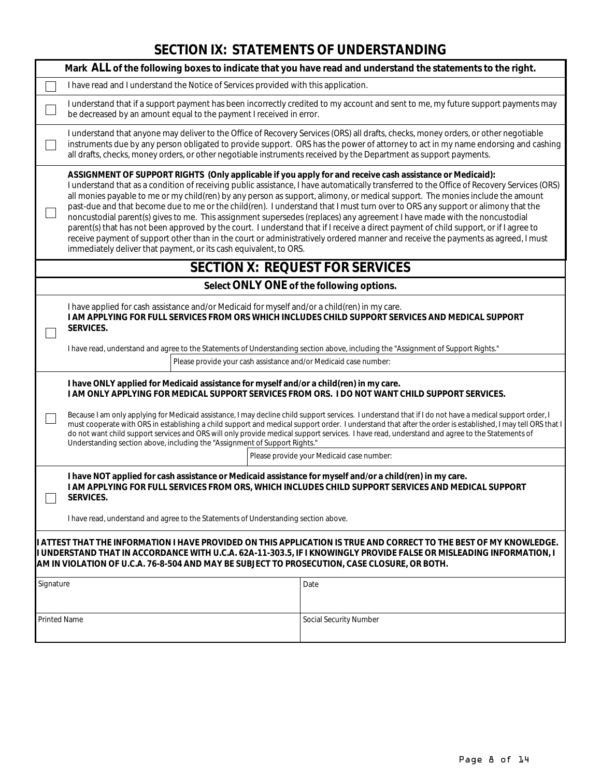## **SECTION IX: STATEMENTS OF UNDERSTANDING**

|                                                                                                                                                                                                                                     |                                                                                                                                                                                                                                                                                                                                                                                                                                                                                                                                                                                                                                                                                                                                                                                                                                                                                                                                                                                                            |                                                                                        | Mark ALL of the following boxes to indicate that you have read and understand the statements to the right. |  |  |  |  |  |  |
|-------------------------------------------------------------------------------------------------------------------------------------------------------------------------------------------------------------------------------------|------------------------------------------------------------------------------------------------------------------------------------------------------------------------------------------------------------------------------------------------------------------------------------------------------------------------------------------------------------------------------------------------------------------------------------------------------------------------------------------------------------------------------------------------------------------------------------------------------------------------------------------------------------------------------------------------------------------------------------------------------------------------------------------------------------------------------------------------------------------------------------------------------------------------------------------------------------------------------------------------------------|----------------------------------------------------------------------------------------|------------------------------------------------------------------------------------------------------------|--|--|--|--|--|--|
|                                                                                                                                                                                                                                     |                                                                                                                                                                                                                                                                                                                                                                                                                                                                                                                                                                                                                                                                                                                                                                                                                                                                                                                                                                                                            | I have read and I understand the Notice of Services provided with this application.    |                                                                                                            |  |  |  |  |  |  |
|                                                                                                                                                                                                                                     | I understand that if a support payment has been incorrectly credited to my account and sent to me, my future support payments may<br>be decreased by an amount equal to the payment I received in error.                                                                                                                                                                                                                                                                                                                                                                                                                                                                                                                                                                                                                                                                                                                                                                                                   |                                                                                        |                                                                                                            |  |  |  |  |  |  |
|                                                                                                                                                                                                                                     | I understand that anyone may deliver to the Office of Recovery Services (ORS) all drafts, checks, money orders, or other negotiable<br>instruments due by any person obligated to provide support. ORS has the power of attorney to act in my name endorsing and cashing<br>all drafts, checks, money orders, or other negotiable instruments received by the Department as support payments.                                                                                                                                                                                                                                                                                                                                                                                                                                                                                                                                                                                                              |                                                                                        |                                                                                                            |  |  |  |  |  |  |
|                                                                                                                                                                                                                                     | ASSIGNMENT OF SUPPORT RIGHTS (Only applicable if you apply for and receive cash assistance or Medicaid):<br>I understand that as a condition of receiving public assistance, I have automatically transferred to the Office of Recovery Services (ORS)<br>all monies payable to me or my child(ren) by any person as support, alimony, or medical support. The monies include the amount<br>past-due and that become due to me or the child(ren). I understand that I must turn over to ORS any support or alimony that the<br>noncustodial parent(s) gives to me. This assignment supersedes (replaces) any agreement I have made with the noncustodial<br>parent(s) that has not been approved by the court. I understand that if I receive a direct payment of child support, or if I agree to<br>receive payment of support other than in the court or administratively ordered manner and receive the payments as agreed, I must<br>immediately deliver that payment, or its cash equivalent, to ORS. |                                                                                        |                                                                                                            |  |  |  |  |  |  |
| <b>SECTION X: REQUEST FOR SERVICES</b>                                                                                                                                                                                              |                                                                                                                                                                                                                                                                                                                                                                                                                                                                                                                                                                                                                                                                                                                                                                                                                                                                                                                                                                                                            |                                                                                        |                                                                                                            |  |  |  |  |  |  |
|                                                                                                                                                                                                                                     |                                                                                                                                                                                                                                                                                                                                                                                                                                                                                                                                                                                                                                                                                                                                                                                                                                                                                                                                                                                                            |                                                                                        | Select ONLY ONE of the following options.                                                                  |  |  |  |  |  |  |
|                                                                                                                                                                                                                                     | I have applied for cash assistance and/or Medicaid for myself and/or a child(ren) in my care.<br>I AM APPLYING FOR FULL SERVICES FROM ORS WHICH INCLUDES CHILD SUPPORT SERVICES AND MEDICAL SUPPORT<br><b>SERVICES.</b>                                                                                                                                                                                                                                                                                                                                                                                                                                                                                                                                                                                                                                                                                                                                                                                    |                                                                                        |                                                                                                            |  |  |  |  |  |  |
|                                                                                                                                                                                                                                     | I have read, understand and agree to the Statements of Understanding section above, including the "Assignment of Support Rights."<br>Please provide your cash assistance and/or Medicaid case number:                                                                                                                                                                                                                                                                                                                                                                                                                                                                                                                                                                                                                                                                                                                                                                                                      |                                                                                        |                                                                                                            |  |  |  |  |  |  |
|                                                                                                                                                                                                                                     |                                                                                                                                                                                                                                                                                                                                                                                                                                                                                                                                                                                                                                                                                                                                                                                                                                                                                                                                                                                                            | I have ONLY applied for Medicaid assistance for myself and/or a child(ren) in my care. | I AM ONLY APPLYING FOR MEDICAL SUPPORT SERVICES FROM ORS. I DO NOT WANT CHILD SUPPORT SERVICES.            |  |  |  |  |  |  |
|                                                                                                                                                                                                                                     | Because I am only applying for Medicaid assistance, I may decline child support services. I understand that if I do not have a medical support order, I<br>must cooperate with ORS in establishing a child support and medical support order. I understand that after the order is established, I may tell ORS that I<br>do not want child support services and ORS will only provide medical support services. I have read, understand and agree to the Statements of<br>Understanding section above, including the "Assignment of Support Rights."                                                                                                                                                                                                                                                                                                                                                                                                                                                       |                                                                                        |                                                                                                            |  |  |  |  |  |  |
|                                                                                                                                                                                                                                     |                                                                                                                                                                                                                                                                                                                                                                                                                                                                                                                                                                                                                                                                                                                                                                                                                                                                                                                                                                                                            |                                                                                        | Please provide your Medicaid case number:                                                                  |  |  |  |  |  |  |
| I have NOT applied for cash assistance or Medicaid assistance for myself and/or a child(ren) in my care.<br>I AM APPLYING FOR FULL SERVICES FROM ORS, WHICH INCLUDES CHILD SUPPORT SERVICES AND MEDICAL SUPPORT<br><b>SERVICES.</b> |                                                                                                                                                                                                                                                                                                                                                                                                                                                                                                                                                                                                                                                                                                                                                                                                                                                                                                                                                                                                            |                                                                                        |                                                                                                            |  |  |  |  |  |  |
| I have read, understand and agree to the Statements of Understanding section above.                                                                                                                                                 |                                                                                                                                                                                                                                                                                                                                                                                                                                                                                                                                                                                                                                                                                                                                                                                                                                                                                                                                                                                                            |                                                                                        |                                                                                                            |  |  |  |  |  |  |
|                                                                                                                                                                                                                                     | I ATTEST THAT THE INFORMATION I HAVE PROVIDED ON THIS APPLICATION IS TRUE AND CORRECT TO THE BEST OF MY KNOWLEDGE.<br>I UNDERSTAND THAT IN ACCORDANCE WITH U.C.A. 62A-11-303.5, IF I KNOWINGLY PROVIDE FALSE OR MISLEADING INFORMATION, I<br>AM IN VIOLATION OF U.C.A. 76-8-504 AND MAY BE SUBJECT TO PROSECUTION, CASE CLOSURE, OR BOTH.                                                                                                                                                                                                                                                                                                                                                                                                                                                                                                                                                                                                                                                                  |                                                                                        |                                                                                                            |  |  |  |  |  |  |
| Signature                                                                                                                                                                                                                           |                                                                                                                                                                                                                                                                                                                                                                                                                                                                                                                                                                                                                                                                                                                                                                                                                                                                                                                                                                                                            |                                                                                        | Date                                                                                                       |  |  |  |  |  |  |
| <b>Printed Name</b>                                                                                                                                                                                                                 |                                                                                                                                                                                                                                                                                                                                                                                                                                                                                                                                                                                                                                                                                                                                                                                                                                                                                                                                                                                                            |                                                                                        | <b>Social Security Number</b>                                                                              |  |  |  |  |  |  |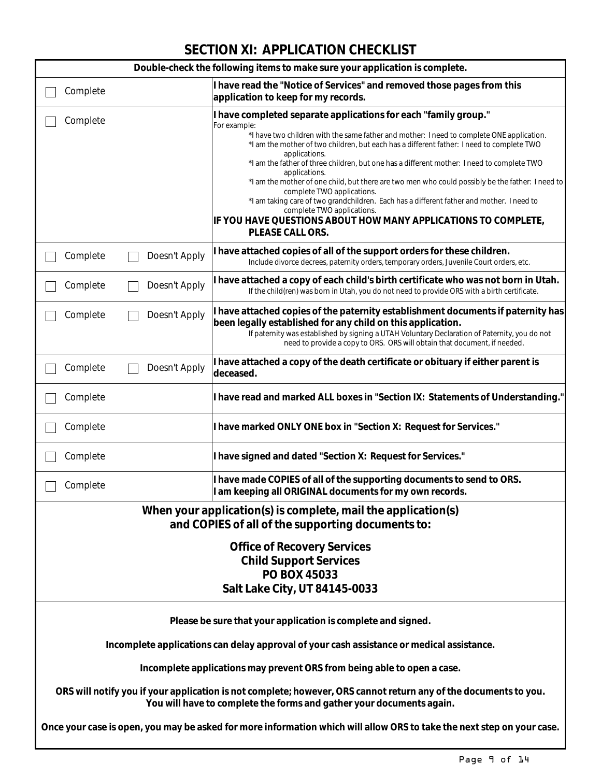## **SECTION XI: APPLICATION CHECKLIST**

| I have read the "Notice of Services" and removed those pages from this<br>Complete<br>application to keep for my records.<br>I have completed separate applications for each "family group."<br>Complete<br>For example:<br>*I have two children with the same father and mother: I need to complete ONE application.<br>*I am the mother of two children, but each has a different father: I need to complete TWO<br>applications.<br>*I am the father of three children, but one has a different mother: I need to complete TWO<br>applications.<br>*I am the mother of one child, but there are two men who could possibly be the father: I need to<br>complete TWO applications.<br>*I am taking care of two grandchildren. Each has a different father and mother. I need to<br>complete TWO applications.<br>IF YOU HAVE QUESTIONS ABOUT HOW MANY APPLICATIONS TO COMPLETE,<br>PLEASE CALL ORS.<br>I have attached copies of all of the support orders for these children.<br>Doesn't Apply<br>Complete<br>Include divorce decrees, paternity orders, temporary orders, Juvenile Court orders, etc.<br>I have attached a copy of each child's birth certificate who was not born in Utah.<br>Doesn't Apply<br>Complete<br>If the child(ren) was born in Utah, you do not need to provide ORS with a birth certificate.<br>I have attached copies of the paternity establishment documents if paternity has<br>Doesn't Apply<br>Complete<br>been legally established for any child on this application.<br>If paternity was established by signing a UTAH Voluntary Declaration of Paternity, you do not<br>need to provide a copy to ORS. ORS will obtain that document, if needed.<br>I have attached a copy of the death certificate or obituary if either parent is<br>Complete<br>Doesn't Apply<br>deceased. |  |  |  |  |  |  |  |
|------------------------------------------------------------------------------------------------------------------------------------------------------------------------------------------------------------------------------------------------------------------------------------------------------------------------------------------------------------------------------------------------------------------------------------------------------------------------------------------------------------------------------------------------------------------------------------------------------------------------------------------------------------------------------------------------------------------------------------------------------------------------------------------------------------------------------------------------------------------------------------------------------------------------------------------------------------------------------------------------------------------------------------------------------------------------------------------------------------------------------------------------------------------------------------------------------------------------------------------------------------------------------------------------------------------------------------------------------------------------------------------------------------------------------------------------------------------------------------------------------------------------------------------------------------------------------------------------------------------------------------------------------------------------------------------------------------------------------------------------------------------------------------------------------------------------|--|--|--|--|--|--|--|
|                                                                                                                                                                                                                                                                                                                                                                                                                                                                                                                                                                                                                                                                                                                                                                                                                                                                                                                                                                                                                                                                                                                                                                                                                                                                                                                                                                                                                                                                                                                                                                                                                                                                                                                                                                                                                        |  |  |  |  |  |  |  |
|                                                                                                                                                                                                                                                                                                                                                                                                                                                                                                                                                                                                                                                                                                                                                                                                                                                                                                                                                                                                                                                                                                                                                                                                                                                                                                                                                                                                                                                                                                                                                                                                                                                                                                                                                                                                                        |  |  |  |  |  |  |  |
|                                                                                                                                                                                                                                                                                                                                                                                                                                                                                                                                                                                                                                                                                                                                                                                                                                                                                                                                                                                                                                                                                                                                                                                                                                                                                                                                                                                                                                                                                                                                                                                                                                                                                                                                                                                                                        |  |  |  |  |  |  |  |
|                                                                                                                                                                                                                                                                                                                                                                                                                                                                                                                                                                                                                                                                                                                                                                                                                                                                                                                                                                                                                                                                                                                                                                                                                                                                                                                                                                                                                                                                                                                                                                                                                                                                                                                                                                                                                        |  |  |  |  |  |  |  |
|                                                                                                                                                                                                                                                                                                                                                                                                                                                                                                                                                                                                                                                                                                                                                                                                                                                                                                                                                                                                                                                                                                                                                                                                                                                                                                                                                                                                                                                                                                                                                                                                                                                                                                                                                                                                                        |  |  |  |  |  |  |  |
|                                                                                                                                                                                                                                                                                                                                                                                                                                                                                                                                                                                                                                                                                                                                                                                                                                                                                                                                                                                                                                                                                                                                                                                                                                                                                                                                                                                                                                                                                                                                                                                                                                                                                                                                                                                                                        |  |  |  |  |  |  |  |
| Complete<br>I have read and marked ALL boxes in "Section IX: Statements of Understanding."                                                                                                                                                                                                                                                                                                                                                                                                                                                                                                                                                                                                                                                                                                                                                                                                                                                                                                                                                                                                                                                                                                                                                                                                                                                                                                                                                                                                                                                                                                                                                                                                                                                                                                                             |  |  |  |  |  |  |  |
| I have marked ONLY ONE box in "Section X: Request for Services."<br>Complete                                                                                                                                                                                                                                                                                                                                                                                                                                                                                                                                                                                                                                                                                                                                                                                                                                                                                                                                                                                                                                                                                                                                                                                                                                                                                                                                                                                                                                                                                                                                                                                                                                                                                                                                           |  |  |  |  |  |  |  |
| Complete<br>I have signed and dated "Section X: Request for Services."                                                                                                                                                                                                                                                                                                                                                                                                                                                                                                                                                                                                                                                                                                                                                                                                                                                                                                                                                                                                                                                                                                                                                                                                                                                                                                                                                                                                                                                                                                                                                                                                                                                                                                                                                 |  |  |  |  |  |  |  |
| I have made COPIES of all of the supporting documents to send to ORS.<br>Complete<br>I am keeping all ORIGINAL documents for my own records.                                                                                                                                                                                                                                                                                                                                                                                                                                                                                                                                                                                                                                                                                                                                                                                                                                                                                                                                                                                                                                                                                                                                                                                                                                                                                                                                                                                                                                                                                                                                                                                                                                                                           |  |  |  |  |  |  |  |
| When your application(s) is complete, mail the application(s)<br>and COPIES of all of the supporting documents to:<br><b>Office of Recovery Services</b><br><b>Child Support Services</b><br>PO BOX 45033<br>Salt Lake City, UT 84145-0033                                                                                                                                                                                                                                                                                                                                                                                                                                                                                                                                                                                                                                                                                                                                                                                                                                                                                                                                                                                                                                                                                                                                                                                                                                                                                                                                                                                                                                                                                                                                                                             |  |  |  |  |  |  |  |
| Please be sure that your application is complete and signed.                                                                                                                                                                                                                                                                                                                                                                                                                                                                                                                                                                                                                                                                                                                                                                                                                                                                                                                                                                                                                                                                                                                                                                                                                                                                                                                                                                                                                                                                                                                                                                                                                                                                                                                                                           |  |  |  |  |  |  |  |
| Incomplete applications can delay approval of your cash assistance or medical assistance.<br>Incomplete applications may prevent ORS from being able to open a case.                                                                                                                                                                                                                                                                                                                                                                                                                                                                                                                                                                                                                                                                                                                                                                                                                                                                                                                                                                                                                                                                                                                                                                                                                                                                                                                                                                                                                                                                                                                                                                                                                                                   |  |  |  |  |  |  |  |
| ORS will notify you if your application is not complete; however, ORS cannot return any of the documents to you.<br>You will have to complete the forms and gather your documents again.<br>Once your case is open, you may be asked for more information which will allow ORS to take the next step on your case.                                                                                                                                                                                                                                                                                                                                                                                                                                                                                                                                                                                                                                                                                                                                                                                                                                                                                                                                                                                                                                                                                                                                                                                                                                                                                                                                                                                                                                                                                                     |  |  |  |  |  |  |  |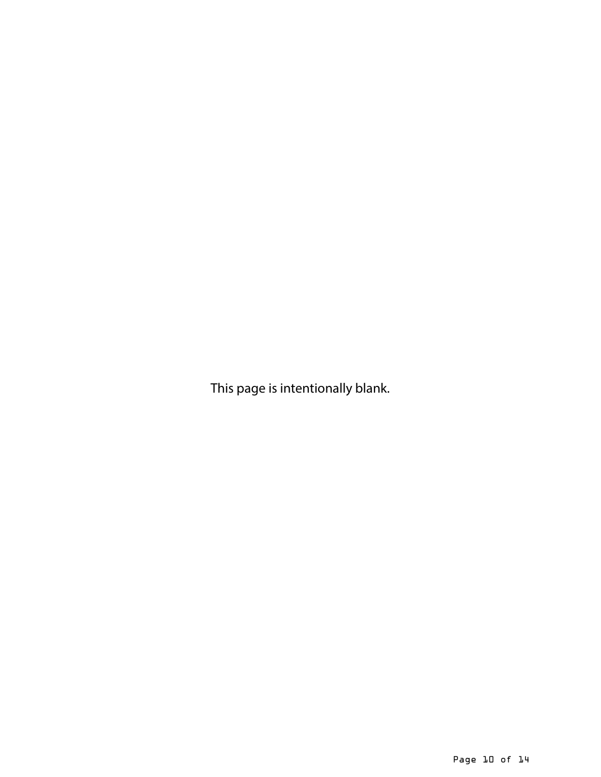This page is intentionally blank.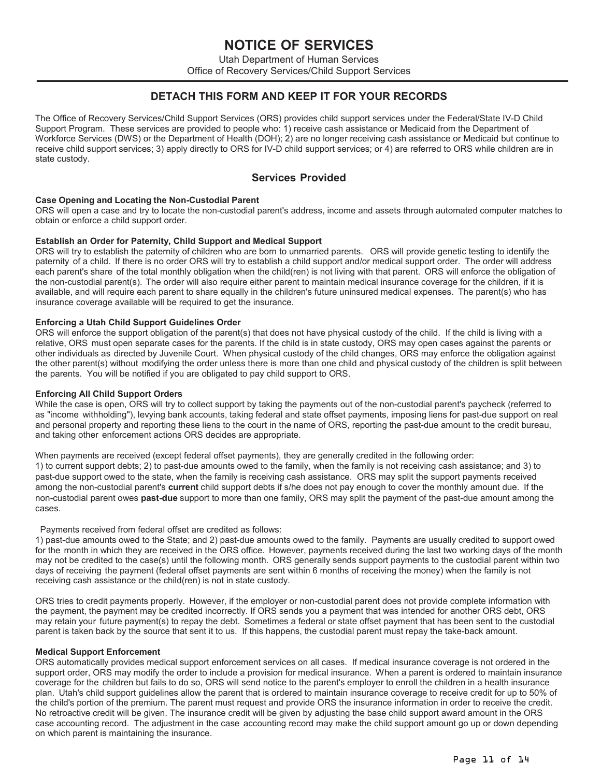## **NOTICE OF SERVICES**

Utah Department of Human Services Office of Recovery Services/Child Support Services

### **DETACH THIS FORM AND KEEP IT FOR YOUR RECORDS**

The Office of Recovery Services/Child Support Services (ORS) provides child support services under the Federal/State IV-D Child Support Program. These services are provided to people who: 1) receive cash assistance or Medicaid from the Department of Workforce Services (DWS) or the Department of Health (DOH); 2) are no longer receiving cash assistance or Medicaid but continue to receive child support services; 3) apply directly to ORS for IV-D child support services; or 4) are referred to ORS while children are in state custody.

### **Services Provided**

#### **Case Opening and Locating the Non-Custodial Parent**

ORS will open a case and try to locate the non-custodial parent's address, income and assets through automated computer matches to obtain or enforce a child support order.

#### **Establish an Order for Paternity, Child Support and Medical Support**

ORS will try to establish the paternity of children who are born to unmarried parents. ORS will provide genetic testing to identify the paternity of a child. If there is no order ORS will try to establish a child support and/or medical support order. The order will address each parent's share of the total monthly obligation when the child(ren) is not living with that parent. ORS will enforce the obligation of the non-custodial parent(s). The order will also require either parent to maintain medical insurance coverage for the children, if it is available, and will require each parent to share equally in the children's future uninsured medical expenses. The parent(s) who has insurance coverage available will be required to get the insurance.

#### **Enforcing a Utah Child Support Guidelines Order**

ORS will enforce the support obligation of the parent(s) that does not have physical custody of the child. If the child is living with a relative, ORS must open separate cases for the parents. If the child is in state custody, ORS may open cases against the parents or other individuals as directed by Juvenile Court. When physical custody of the child changes, ORS may enforce the obligation against the other parent(s) without modifying the order unless there is more than one child and physical custody of the children is split between the parents. You will be notified if you are obligated to pay child support to ORS.

#### **Enforcing All Child Support Orders**

While the case is open, ORS will try to collect support by taking the payments out of the non-custodial parent's paycheck (referred to as "income withholding"), levying bank accounts, taking federal and state offset payments, imposing liens for past-due support on real and personal property and reporting these liens to the court in the name of ORS, reporting the past-due amount to the credit bureau, and taking other enforcement actions ORS decides are appropriate.

When payments are received (except federal offset payments), they are generally credited in the following order:

1) to current support debts; 2) to past-due amounts owed to the family, when the family is not receiving cash assistance; and 3) to past-due support owed to the state, when the family is receiving cash assistance. ORS may split the support payments received among the non-custodial parent's **current** child support debts if s/he does not pay enough to cover the monthly amount due. If the non-custodial parent owes **past-due** support to more than one family, ORS may split the payment of the past-due amount among the cases.

Payments received from federal offset are credited as follows:

1) past-due amounts owed to the State; and 2) past-due amounts owed to the family. Payments are usually credited to support owed for the month in which they are received in the ORS office. However, payments received during the last two working days of the month may not be credited to the case(s) until the following month. ORS generally sends support payments to the custodial parent within two days of receiving the payment (federal offset payments are sent within 6 months of receiving the money) when the family is not receiving cash assistance or the child(ren) is not in state custody.

ORS tries to credit payments properly. However, if the employer or non-custodial parent does not provide complete information with the payment, the payment may be credited incorrectly. If ORS sends you a payment that was intended for another ORS debt, ORS may retain your future payment(s) to repay the debt. Sometimes a federal or state offset payment that has been sent to the custodial parent is taken back by the source that sent it to us. If this happens, the custodial parent must repay the take-back amount.

#### **Medical Support Enforcement**

ORS automatically provides medical support enforcement services on all cases. If medical insurance coverage is not ordered in the support order, ORS may modify the order to include a provision for medical insurance. When a parent is ordered to maintain insurance coverage for the children but fails to do so, ORS will send notice to the parent's employer to enroll the children in a health insurance plan. Utah's child support guidelines allow the parent that is ordered to maintain insurance coverage to receive credit for up to 50% of the child's portion of the premium. The parent must request and provide ORS the insurance information in order to receive the credit. No retroactive credit will be given. The insurance credit will be given by adjusting the base child support award amount in the ORS case accounting record. The adjustment in the case accounting record may make the child support amount go up or down depending on which parent is maintaining the insurance.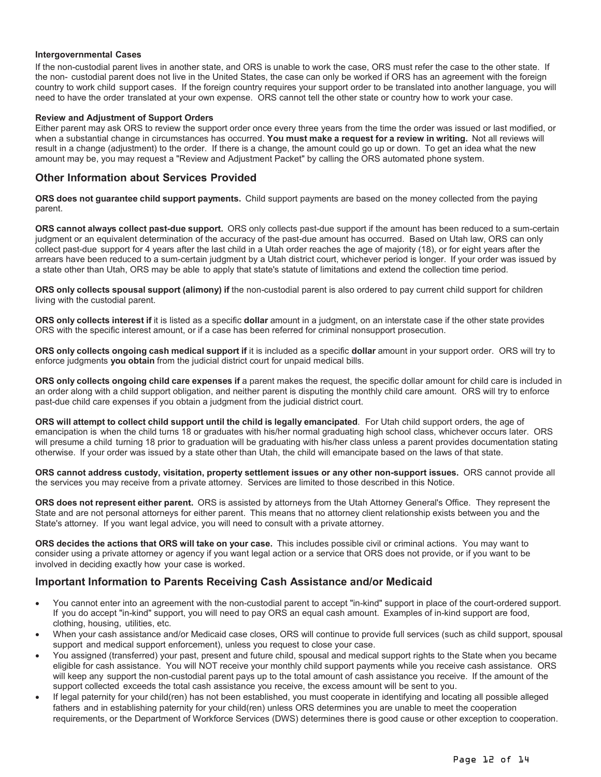#### **Intergovernmental Cases**

If the non-custodial parent lives in another state, and ORS is unable to work the case, ORS must refer the case to the other state. If the non- custodial parent does not live in the United States, the case can only be worked if ORS has an agreement with the foreign country to work child support cases. If the foreign country requires your support order to be translated into another language, you will need to have the order translated at your own expense. ORS cannot tell the other state or country how to work your case.

#### **Review and Adjustment of Support Orders**

Either parent may ask ORS to review the support order once every three years from the time the order was issued or last modified, or when a substantial change in circumstances has occurred. **You must make a request for a review in writing.** Not all reviews will result in a change (adjustment) to the order. If there is a change, the amount could go up or down. To get an idea what the new amount may be, you may request a "Review and Adjustment Packet" by calling the ORS automated phone system.

### **Other Information about Services Provided**

**ORS does not guarantee child support payments.** Child support payments are based on the money collected from the paying parent.

**ORS cannot always collect past-due support.** ORS only collects past-due support if the amount has been reduced to a sum-certain judgment or an equivalent determination of the accuracy of the past-due amount has occurred. Based on Utah law, ORS can only collect past-due support for 4 years after the last child in a Utah order reaches the age of majority (18), or for eight years after the arrears have been reduced to a sum-certain judgment by a Utah district court, whichever period is longer. If your order was issued by a state other than Utah, ORS may be able to apply that state's statute of limitations and extend the collection time period.

**ORS only collects spousal support (alimony) if** the non-custodial parent is also ordered to pay current child support for children living with the custodial parent.

**ORS only collects interest if** it is listed as a specific **dollar** amount in a judgment, on an interstate case if the other state provides ORS with the specific interest amount, or if a case has been referred for criminal nonsupport prosecution.

**ORS only collects ongoing cash medical support if** it is included as a specific **dollar** amount in your support order. ORS will try to enforce judgments **you obtain** from the judicial district court for unpaid medical bills.

**ORS only collects ongoing child care expenses if** a parent makes the request, the specific dollar amount for child care is included in an order along with a child support obligation, and neither parent is disputing the monthly child care amount. ORS will try to enforce past-due child care expenses if you obtain a judgment from the judicial district court.

**ORS will attempt to collect child support until the child is legally emancipated**. For Utah child support orders, the age of emancipation is when the child turns 18 or graduates with his/her normal graduating high school class, whichever occurs later. ORS will presume a child turning 18 prior to graduation will be graduating with his/her class unless a parent provides documentation stating otherwise. If your order was issued by a state other than Utah, the child will emancipate based on the laws of that state.

**ORS cannot address custody, visitation, property settlement issues or any other non-support issues.** ORS cannot provide all the services you may receive from a private attorney. Services are limited to those described in this Notice.

**ORS does not represent either parent.** ORS is assisted by attorneys from the Utah Attorney General's Office. They represent the State and are not personal attorneys for either parent. This means that no attorney client relationship exists between you and the State's attorney. If you want legal advice, you will need to consult with a private attorney.

**ORS decides the actions that ORS will take on your case.** This includes possible civil or criminal actions. You may want to consider using a private attorney or agency if you want legal action or a service that ORS does not provide, or if you want to be involved in deciding exactly how your case is worked.

### **Important Information to Parents Receiving Cash Assistance and/or Medicaid**

- You cannot enter into an agreement with the non-custodial parent to accept "in-kind" support in place of the court-ordered support. If you do accept "in-kind" support, you will need to pay ORS an equal cash amount. Examples of in-kind support are food, clothing, housing, utilities, etc.
- When your cash assistance and/or Medicaid case closes, ORS will continue to provide full services (such as child support, spousal support and medical support enforcement), unless you request to close your case.
- You assigned (transferred) your past, present and future child, spousal and medical support rights to the State when you became eligible for cash assistance. You will NOT receive your monthly child support payments while you receive cash assistance. ORS will keep any support the non-custodial parent pays up to the total amount of cash assistance you receive. If the amount of the support collected exceeds the total cash assistance you receive, the excess amount will be sent to you.
- If legal paternity for your child(ren) has not been established, you must cooperate in identifying and locating all possible alleged fathers and in establishing paternity for your child(ren) unless ORS determines you are unable to meet the cooperation requirements, or the Department of Workforce Services (DWS) determines there is good cause or other exception to cooperation.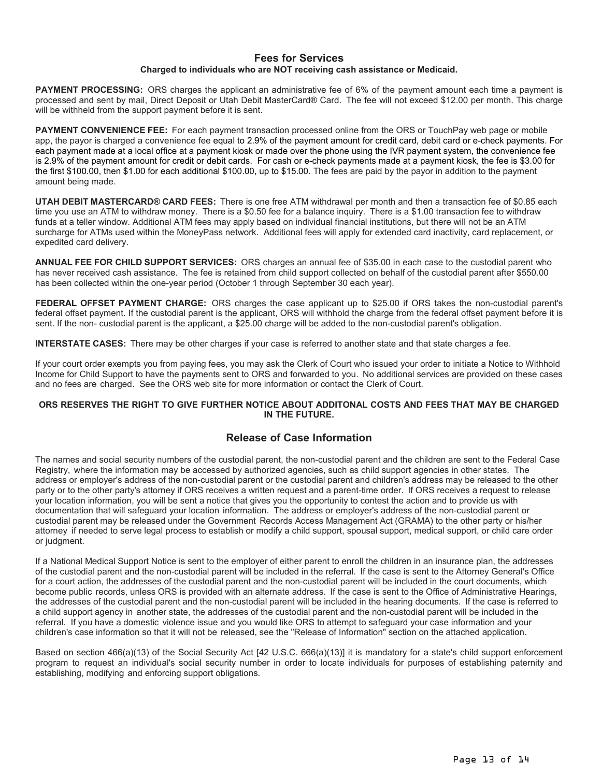#### **Fees for Services Charged to individuals who are NOT receiving cash assistance or Medicaid.**

**PAYMENT PROCESSING:** ORS charges the applicant an administrative fee of 6% of the payment amount each time a payment is processed and sent by mail, Direct Deposit or Utah Debit MasterCard® Card. The fee will not exceed \$12.00 per month. This charge will be withheld from the support payment before it is sent.

**PAYMENT CONVENIENCE FEE:** For each payment transaction processed online from the ORS or TouchPay web page or mobile app, the payor is charged a convenience fee equal to 2.9% of the payment amount for credit card, debit card or e-check payments. For each payment made at a local office at a payment kiosk or made over the phone using the IVR payment system, the convenience fee is 2.9% of the payment amount for credit or debit cards. For cash or e-check payments made at a payment kiosk, the fee is \$3.00 for the first \$100.00, then \$1.00 for each additional \$100.00, up to \$15.00. The fees are paid by the payor in addition to the payment amount being made.

**UTAH DEBIT MASTERCARD® CARD FEES:** There is one free ATM withdrawal per month and then a transaction fee of \$0.85 each time you use an ATM to withdraw money. There is a \$0.50 fee for a balance inquiry. There is a \$1.00 transaction fee to withdraw funds at a teller window. Additional ATM fees may apply based on individual financial institutions, but there will not be an ATM surcharge for ATMs used within the MoneyPass network. Additional fees will apply for extended card inactivity, card replacement, or expedited card delivery.

**ANNUAL FEE FOR CHILD SUPPORT SERVICES:** ORS charges an annual fee of \$35.00 in each case to the custodial parent who has never received cash assistance. The fee is retained from child support collected on behalf of the custodial parent after \$550.00 has been collected within the one-year period (October 1 through September 30 each year).

**FEDERAL OFFSET PAYMENT CHARGE:** ORS charges the case applicant up to \$25.00 if ORS takes the non-custodial parent's federal offset payment. If the custodial parent is the applicant, ORS will withhold the charge from the federal offset payment before it is sent. If the non- custodial parent is the applicant, a \$25.00 charge will be added to the non-custodial parent's obligation.

**INTERSTATE CASES:** There may be other charges if your case is referred to another state and that state charges a fee.

If your court order exempts you from paying fees, you may ask the Clerk of Court who issued your order to initiate a Notice to Withhold Income for Child Support to have the payments sent to ORS and forwarded to you. No additional services are provided on these cases and no fees are charged. See the ORS web site for more information or contact the Clerk of Court.

#### **ORS RESERVES THE RIGHT TO GIVE FURTHER NOTICE ABOUT ADDITONAL COSTS AND FEES THAT MAY BE CHARGED IN THE FUTURE.**

#### **Release of Case Information**

The names and social security numbers of the custodial parent, the non-custodial parent and the children are sent to the Federal Case Registry, where the information may be accessed by authorized agencies, such as child support agencies in other states. The address or employer's address of the non-custodial parent or the custodial parent and children's address may be released to the other party or to the other party's attorney if ORS receives a written request and a parent-time order. If ORS receives a request to release your location information, you will be sent a notice that gives you the opportunity to contest the action and to provide us with documentation that will safeguard your location information. The address or employer's address of the non-custodial parent or custodial parent may be released under the Government Records Access Management Act (GRAMA) to the other party or his/her attorney if needed to serve legal process to establish or modify a child support, spousal support, medical support, or child care order or judgment.

If a National Medical Support Notice is sent to the employer of either parent to enroll the children in an insurance plan, the addresses of the custodial parent and the non-custodial parent will be included in the referral. If the case is sent to the Attorney General's Office for a court action, the addresses of the custodial parent and the non-custodial parent will be included in the court documents, which become public records, unless ORS is provided with an alternate address. If the case is sent to the Office of Administrative Hearings, the addresses of the custodial parent and the non-custodial parent will be included in the hearing documents. If the case is referred to a child support agency in another state, the addresses of the custodial parent and the non-custodial parent will be included in the referral. If you have a domestic violence issue and you would like ORS to attempt to safeguard your case information and your children's case information so that it will not be released, see the "Release of Information" section on the attached application.

Based on section 466(a)(13) of the Social Security Act [42 U.S.C. 666(a)(13)] it is mandatory for a state's child support enforcement program to request an individual's social security number in order to locate individuals for purposes of establishing paternity and establishing, modifying and enforcing support obligations.